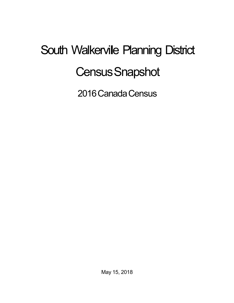## South Walkervile Planning District **Census Snapshot**

2016 Canada Census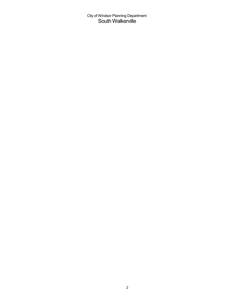City of Windsor Planning Department South Walkerville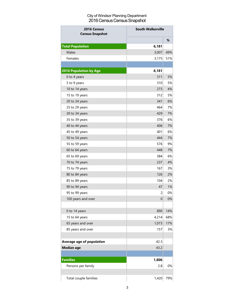## City of Windsor Planning Department 2016 Census Census Snapshot

| 2016 Census<br><b>Census Snapshot</b> | <b>South Walkerville</b> |     |
|---------------------------------------|--------------------------|-----|
|                                       |                          | %   |
| <b>Total Population</b>               | 6,181                    |     |
| Males                                 | 3,007                    | 49% |
| Females                               | 3,175                    | 51% |
|                                       |                          |     |
| <b>2016 Population by Age</b>         | 6,181                    |     |
| 0 to 4 years                          | 311                      | 5%  |
| 5 to 9 years                          | 310                      | 5%  |
| 10 to 14 years                        | 273                      | 4%  |
| 15 to 19 years                        | 312                      | 5%  |
| 20 to 24 years                        | 341                      | 6%  |
| 25 to 29 years                        | 464                      | 7%  |
| 30 to 34 years                        | 429                      | 7%  |
| 35 to 39 years                        | 376                      | 6%  |
| 40 to 44 years                        | 406                      | 7%  |
| 45 to 49 years                        | 401                      | 6%  |
| 50 to 54 years                        | 444                      | 7%  |
| 55 to 59 years                        | 576                      | 9%  |
| 60 to 64 years                        | 448                      | 7%  |
| 65 to 69 years                        | 384                      | 6%  |
| 70 to 74 years                        | 237                      | 4%  |
| 75 to 79 years                        | 167                      | 3%  |
| 80 to 84 years                        | 126                      | 2%  |
| 85 to 89 years                        | 104                      | 2%  |
| 90 to 94 years                        | 47                       | 1%  |
| 95 to 99 years                        | 2                        | 0%  |
| 100 years and over                    | $\boldsymbol{0}$         | 0%  |
|                                       |                          |     |
| 0 to 14 years                         | 890                      | 14% |
| 15 to 64 years                        | 4,214                    | 68% |
| 65 years and over                     | 1,073                    | 17% |
| 85 years and over                     | 157                      | 3%  |
|                                       |                          |     |
| <b>Average age of population</b>      | 42.3                     |     |
| <b>Median age</b>                     | 43.2                     |     |
|                                       |                          |     |
| <b>Families</b>                       | 1,806                    |     |
| Persons per family                    | 2.8                      | 0%  |
|                                       |                          |     |
| Total couple families                 | 1,420                    | 79% |